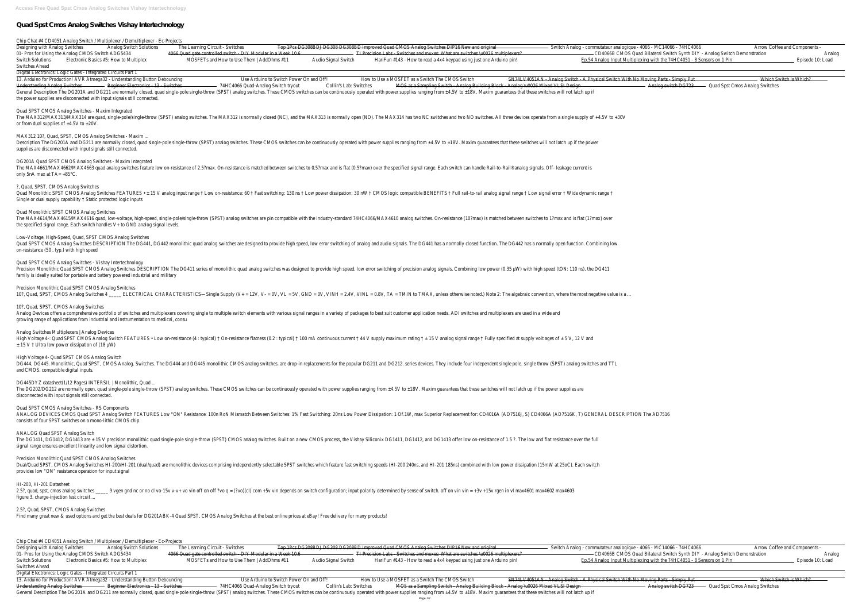## **Quad Spst Cmos Analog Switches Vishay Intertechnology**

| Chip Chat #4 CD4051 Analog Switch / Multiplexer / Demultiplexer - Ec-Projects<br>Designing with Analog Switches<br><b>Analog Switch Solutions</b>                                                                                                                                                 | The Learning Circuit - Switches                                                                                                               |                                                                   | Top 1Pcs DG308BDJ DG308 DG308BD Improved Quad CMOS Analog Switches DIP16 New and original                                                                                                                                                                                                                                                                               | Switch Analog - commutateur analogique - 4066 - MC14066 - 74HC4066                                                                                                                                                           | Arrow Coffee and Components -                            |
|---------------------------------------------------------------------------------------------------------------------------------------------------------------------------------------------------------------------------------------------------------------------------------------------------|-----------------------------------------------------------------------------------------------------------------------------------------------|-------------------------------------------------------------------|-------------------------------------------------------------------------------------------------------------------------------------------------------------------------------------------------------------------------------------------------------------------------------------------------------------------------------------------------------------------------|------------------------------------------------------------------------------------------------------------------------------------------------------------------------------------------------------------------------------|----------------------------------------------------------|
| 01- Pros for Using the Analog CMOS Switch ADG5434<br>Electronic Basics #5: How to Multiplex<br><b>Switch Solutions</b><br>Switches Ahead                                                                                                                                                          | 4066 Quad gate controlled switch - DIY Modular in a Week 10.6<br>MOSFETs and How to Use Them   AddOhms #11                                    | Audio Signal Switch                                               | TI Precision Labs - Switches and muxes: What are switches \u0026 multiplexers?<br>HariFun #143 - How to read a 4x4 keypad using just one Arduino pin!                                                                                                                                                                                                                   | CD4066B CMOS Quad Bilateral Switch Synth DIY - Analog Switch Demonstration<br>Ep.54 Analog Input Multiplexing with the 74HC4051 - 8 Sensors on 1 Pin                                                                         | Episode 10:                                              |
| Digital Electronics: Logic Gates - Integrated Circuits Part 1<br>13. Arduino for Production! AVR Atmega32 - Understanding Button Debouncing<br>- Beginner Electronics - 13 - Switches<br>Understanding Analog Switches<br>the power supplies are disconnected with input signals still connected. | 74HC4066 Quad-Analog Switch tryout                                                                                                            | Use Arduino to Switch Power On and Off!<br>Collin's Lab: Switches | How to Use a MOSFET as a Switch The CMOS Switch<br>MOS as a Sampling Switch - Analog Building Block - Analog \u0026 Mixed VLSI Design<br>General Description The DG201A and DG211 are normally closed, quad single-pole single-throw (SPST) analog switches. These CMOS switches can be continuously operated with power supplies ranging from ±4.5V to ±18V. Maxim gua | SN74LV4051AN - Analog Switch - A Physical Switch With No Moving Parts - Simply Put<br>Analog switch DG723                                                                                                                    | Which Switch is Which?<br>Quad Spst Cmos Analog Switches |
| Quad SPST CMOS Analog Switches - Maxim Integrated<br>or from dual supplies of $\pm 4.5V$ to $\pm 20V$ .                                                                                                                                                                                           |                                                                                                                                               |                                                                   | The MAX312/MAX313/MAX314 are quad, single-pole/single-throw (SPST) analog switches. The MAX312 is normally closed (NC), and the MAX313 is normally open (NO). The MAX314 has two NC switches and two NO switches. All three de                                                                                                                                          |                                                                                                                                                                                                                              |                                                          |
| MAX312 10?, Quad, SPST, CMOS Analog Switches - Maxim<br>supplies are disconnected with input signals still connected.                                                                                                                                                                             |                                                                                                                                               |                                                                   | Description The DG201A and DG211 are normally closed, quad single-pole single-throw (SPST) analog switches. These CMOS switches can be continuously operated with power supplies ranging from ±4.5V to ±18V. Maxim guarantees                                                                                                                                           |                                                                                                                                                                                                                              |                                                          |
| DG201A Quad SPST CMOS Analog Switches - Maxim Integrated<br>only 5nA max at $TA = +85^{\circ}C$ .                                                                                                                                                                                                 |                                                                                                                                               |                                                                   | The MAX4661/MAX4662 quad analog switches feature low on-resistance of 2.5?max. On-resistance is matched between switches to 0.5?max and is flat (0.5?max) over the specified signal range. Each switch can handle Rail-to-Rail                                                                                                                                          |                                                                                                                                                                                                                              |                                                          |
| ?, Quad, SPST, CMOS Analog Switches<br>Single or dual supply capability t Static protected logic inputs                                                                                                                                                                                           |                                                                                                                                               |                                                                   | Quad Monolithic SPST CMOS Analog Switches FEATURES • ± 15 V analog input range † Low on-resistance: 60 † Fast switching: 130 ns † Low power dissipation: 30 nW † CMOS logic compatible BENEFITS † Full rail-to-rail analog sig                                                                                                                                          |                                                                                                                                                                                                                              |                                                          |
| Quad Monolithic SPST CMOS Analog Switches<br>the specified signal range. Each switch handles V+ to GND analog signal levels.                                                                                                                                                                      |                                                                                                                                               |                                                                   | The MAX4614/MAX4615/MAX4616 quad, low-voltage, high-speed, single-pole/single-throw (SPST) analog switches are pin compatible with the industry-standard 74HC4066/MAX4610 analog switches. On-resistance (10?max) is matched b                                                                                                                                          |                                                                                                                                                                                                                              |                                                          |
| Low-Voltage, High-Speed, Quad, SPST CMOS Analog Switches<br>on-resistance (50, typ.) with high speed                                                                                                                                                                                              |                                                                                                                                               |                                                                   | Quad SPST CMOS Analog Switches DESCRIPTION The DG441, DG442 monolithic quad analog switches are designed to provide high speed, low error switching of analog and audio signals. The DG441 has a normally closed function. The                                                                                                                                          |                                                                                                                                                                                                                              |                                                          |
| Quad SPST CMOS Analog Switches - Vishay Intertechnology<br>family is ideally suited for portable and battery powered industrial and military                                                                                                                                                      |                                                                                                                                               |                                                                   | Precision Monolithic Quad SPST CMOS Analog Switches DESCRIPTION The DG411 series of monolithic quad analog switches was designed to provide high speed, low error switching of precision analog signals. Combining low power (                                                                                                                                          |                                                                                                                                                                                                                              |                                                          |
| Precision Monolithic Quad SPST CMOS Analog Switches                                                                                                                                                                                                                                               |                                                                                                                                               |                                                                   | 10?, Quad, SPST, CMOS Analog Switches 4 ______ ELECTRICAL CHARACTERISTICS—Single Supply (V+ = 12V, V- = 0V, VL = 5V, GND = 0V, VINH = 2.4V, VINL = 0.8V, TA = TMIN to TMAX, unless otherwise noted.) Note 2: The algebraic con                                                                                                                                          |                                                                                                                                                                                                                              |                                                          |
| 10?, Quad, SPST, CMOS Analog Switches<br>growing range of applications from industrial and instrumentation to medical, consu                                                                                                                                                                      |                                                                                                                                               |                                                                   | Analog Devices offers a comprehensive portfolio of switches and multiplexers covering single to multiple switch elements with various signal ranges in a variety of packages to best suit customer application needs. ADI swit                                                                                                                                          |                                                                                                                                                                                                                              |                                                          |
| Analog Switches Multiplexers   Analog Devices<br>$\pm$ 15 V † Ultra low power dissipation of (18 µW)                                                                                                                                                                                              |                                                                                                                                               |                                                                   | High Voltage 4-: Quad SPST CMOS Analog Switch FEATURES • Low on-resistance (4: typical) † On-resistance flatness (0.2: typical) † 100 mA continuous current † 44 V supply maximum rating † ± 15 V analog signal range † Fully                                                                                                                                           |                                                                                                                                                                                                                              |                                                          |
| High Voltage 4- Quad SPST CMOS Analog Switch<br>and CMOS. compatible digital inputs.                                                                                                                                                                                                              |                                                                                                                                               |                                                                   | DG444, DG445. Monolithic, Quad SPST, CMOS Analog. Switches. The DG444 and DG445 monolithic CMOS analog switches. are drop-in replacements for the popular DG212. series devices. They include four independent single pole. si                                                                                                                                          |                                                                                                                                                                                                                              |                                                          |
| DG445DYZ datasheet(1/12 Pages) INTERSIL   Monolithic, Quad<br>disconnected with input signals still connected.                                                                                                                                                                                    |                                                                                                                                               |                                                                   | The DG202/DG212 are normally open, quad single-pole single-throw (SPST) analog switches. These CMOS switches can be continuously operated with power supplies ranging from ±4.5V to ±18V. Maxim guarantees that these switches                                                                                                                                          |                                                                                                                                                                                                                              |                                                          |
| Quad SPST CMOS Analog Switches - RS Components<br>consists of four SPST switches on a mono-lithic CMOS chip.                                                                                                                                                                                      |                                                                                                                                               |                                                                   | ANALOG DEVICES CMOS Quad SPST Analog Switch FEATURES Low "ON" Resistance: 100n RoN Mismatch Between Switches: 1% Fast Switching: 20ns Low Power Dissipation: 1 Of.1W, max Superior Replacement for: CD4016A (AD7516J, S) CD406                                                                                                                                          |                                                                                                                                                                                                                              |                                                          |
| ANALOG Quad SPST Analog Switch<br>signal range ensures excellent linearity and low signal distortion.                                                                                                                                                                                             |                                                                                                                                               |                                                                   | The DG1411, DG1412, DG1413 are ± 15 V precision monolithic quad single-pole single-throw (SPST) CMOS analog switches. Built on a new CMOS process, the Vishay Siliconix DG1412, and DG1413 offer low on-resistance of 1.5 ?. T                                                                                                                                          |                                                                                                                                                                                                                              |                                                          |
| Precision Monolithic Quad SPST CMOS Analog Switches<br>provides low "ON" resistance operation for input signal                                                                                                                                                                                    |                                                                                                                                               |                                                                   | Dual/Quad SPST, CMOS Analog Switches HI-200/HI-201 (dual/quad) are monolithic devices comprising independently selectable SPST switches which feature fast switching speeds (HI-200 240ns, and HI-201 185ns) combined with low                                                                                                                                          |                                                                                                                                                                                                                              |                                                          |
| HI-200, HI-201 Datasheet<br>figure 3. charge-injection test circuit                                                                                                                                                                                                                               |                                                                                                                                               |                                                                   | 2.5?, quad, spst, cmos analog switches _____ 9 vgen gnd nc or no cl vo-15v v-v+ vo vin off on off ?vo q = (?vo)(cl) com +5v vin depends on switch configuration; input polarity determined by sense of switch. off on vin vin                                                                                                                                           |                                                                                                                                                                                                                              |                                                          |
| 2.5?, Quad, SPST, CMOS Analog Switches<br>Find many great new & used options and get the best deals for DG201ABK-4 Quad SPST, CMOS Analog Switches at the best online prices at eBay! Free delivery for many products!                                                                            |                                                                                                                                               |                                                                   |                                                                                                                                                                                                                                                                                                                                                                         |                                                                                                                                                                                                                              |                                                          |
| Chip Chat #4 CD4051 Analog Switch / Multiplexer / Demultiplexer - Ec-Projects                                                                                                                                                                                                                     |                                                                                                                                               |                                                                   |                                                                                                                                                                                                                                                                                                                                                                         |                                                                                                                                                                                                                              |                                                          |
| Designing with Analog Switches<br><b>Analog Switch Solutions</b><br>01- Pros for Using the Analog CMOS Switch ADG5434<br>Electronic Basics #5: How to Multiplex<br><b>Switch Solutions</b>                                                                                                        | The Learning Circuit - Switches<br>4066 Quad gate controlled switch - DIY Modular in a Week 10.6<br>MOSFETs and How to Use Them   AddOhms #11 | Audio Signal Switch                                               | Top 1Pcs DG308BDJ DG308 DG308BD Improved Quad CMOS Analog Switches DIP16 New and original<br>TI Precision Labs - Switches and muxes: What are switches \u0026 multiplexers?<br>HariFun #143 - How to read a 4x4 keypad using just one Arduino pin!                                                                                                                      | Switch Analog - commutateur analogique - 4066 - MC14066 - 74HC4066<br>- CD4066B CMOS Quad Bilateral Switch Synth DIY - Analog Switch Demonstration<br>Ep.54 Analog Input Multiplexing with the 74HC4051 - 8 Sensors on 1 Pin | Arrow Coffee and Components -<br>Episode 10:             |
| Switches Ahead<br>Digital Electronics: Logic Gates - Integrated Circuits Part 1                                                                                                                                                                                                                   |                                                                                                                                               |                                                                   |                                                                                                                                                                                                                                                                                                                                                                         |                                                                                                                                                                                                                              |                                                          |

13. Arduino for Production! AVR Atmega32 - Understanding Button Debouncing Use Arduino to Switch Power On and Off! How to Use a MOSFET as a Switch The CMOS Switch Analog Switch - A Physical Switch With No Moving Parts - Si Collin's Lab: Switches **MOS as a Sampling Switch - Analog Building Block - Analog \u0026 Mixed VLSI Design** General Description The DG201A and DG211 are normally closed, quad single-pole single-throw (SPST) analog switches. These CMOS switches can be continuously operated with power supplies ranging from ±4.5V to ±18V. Maxim gua Page 1/2